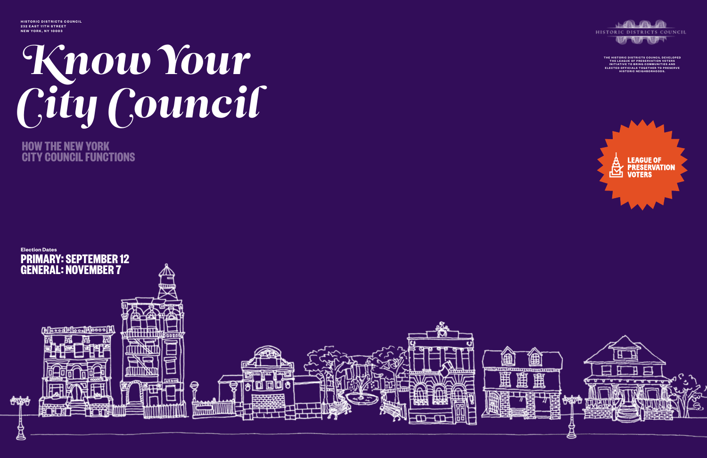## Know Your City Council

**HOW THE NEW YORK CITY COUNCIL FUNCTIONS**

**HISTORIC DISTRICTS COUNCIL 232 EAST 11TH STREET NEW YORK, NY 10003**





THE HISTORIC DISTRICTS COUNCIL DEVELOPED<br>THE LEAGUE OF PRESERVATION VOTERS<br>INITIATIVE TO BRING COMMUNITIES AND ELECTED OFFICIALS TOGETHER TO PRESERVE<br>HISTORIC NEIGHBORHOODS.